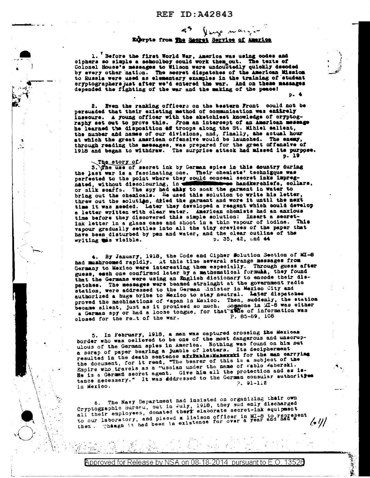# ley mange Extrpts from The Secret Service of America

1. Before the first World War, Amarica was using codes and ciphers so simple a schoolboy could work them out. The texts of<br>Colonel House's messages to Wilson were undoubtedly quickly deeded<br>by every other nation. The secret dispatches of the American Mission to Russia were used as elementary examples in the training of student oryptographers just after we'd entered the war. And on these messages depended the fighting of the war and the making of the peace!

2. Even the ranking officers on the bestern Front could not be persuaded that their existing method of communication was entirely insecure. A young officer with the aketchiest knowledge of cryptography set out to prove this. From an intercept of an American message he learned the disposition af troops along the St. Mihiel salient, the number and names of our divisions, and, finally, she actual hour at which the great American offensive would be launched. The enery, through reading the messages, was prepared for the great of fensive of 1918 and began to withdraw. The surprise attack had missed its purpose.  $p. 19$ 

The story of 3. The use of secret ink by German spies in this dountry during the last war is a fascinating one. Their chemists' technizque was perfected to the point where they could conceal secret inks impregnated, without discolouring, in mmmee handkerehiefs, collars, or silk scarfs. The spy had ably to soak the garment in water to bring out the chealcals. He used this solution to write his letter, threw out the solution, dried the garment and wore it until the next time it was meeded. Later they developed a reagent which could develop a letter written with clear water. American chemists had an anxious time before they discovered this simple solution: Insert a secretink letter in a glass case and shoot in a thin vapour of iodine. This vapour gradually settles into all the tiny orevioes of the paper that This have been disturbed by pen and water, and the clear outline of the p. 35, 42, and 44 writing this visible.

4. By January, 1918, the Code and Cipher Solution Section of MI-8 had mushroomed rapidly. At this time several strange messages from<br>Germany to Mexico were interesting them especially. Through guess after guess, each one confirmed later by a mathematical formula, they found that the Germans were using an English dictionary to encode their dis-patches. The messages were beamed strainght at the government radio station, were addressed to the German Unister in Mexico City and authorized a huge bribe to Mexico to stay neutral. Later dispetches proved the machinations of "apan in Mexico. Then, suddenly, the station became silent, just as it promised so much. Someone in MI-8 was either a German spy or had a loose tongue, for that avale of information was<br>olosed for the ret of the war. P. 85-89, 108

5. In February, 1918, a man was captured crossing the Merican border who was celleved to be one of the most dangerous and unscrupulous of the German spies in America. Nothing was found on him put a scrap of paper bearing a jumble of letters. Its decipherment resulted in the death sentence wirkhibside and the man carrying the document, for it read, "The bearer of this is a subject of the Empire who travels as a "ussian under the name of rablo Waberski. He is a German secret agent. Give him all the protection and as istance necessary." It was dddressed to the German consular authority  $9.91-1.2$ in Mexico.

6. The Navy Department had insisted on organizing their own Cryptographic Bureeu, out in July, 1918, they sud enly discharged<br>all their employees, donated there elaborate secret-ink equipment to our laboratory, and pleced a liaison officer in MI-8 to represent<br>them. Theugh it had been in existence for over a year and had a  $\prime$  :  $\prime\prime$  /

Approved for Release by NSA on 08-18-2014 pursuant to E.O.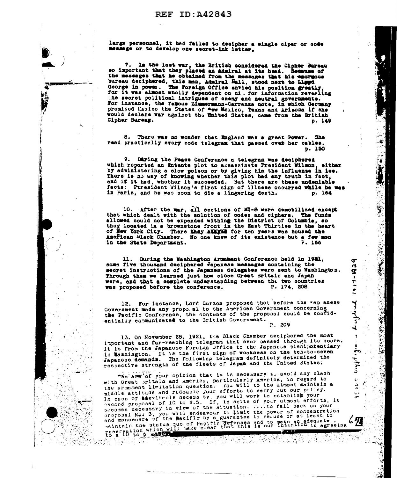#### REF  $ID: A42843$

large personnel, it had failed to decipher a single ciper or code message or to develop one secret-ink letter,

7. In the last war, the British considered the Cipher Bureau so important that they placed an Admiral at its head. Because of so laportant was they praced an amatrix at its measure of the messages that his emornous bureau deciphered, this man, Admiral Hall, stood next to Ligged George in power. The Foreign Office anvied his position greatly, for It was almost wholly dependent on hi. for information revealing the secret political intrigues of enemy and neutral governments.<br>For instance, the famous Zimmermann-Carranga note, in which Germany promised Maxico the States of Mew Maxico, Texas and Arizona if she would declars war against the United States, came from the British Cipher Bureaw. p. 149

8. There was no wonder that England was a great Power. She read practically every code telegram that passed over her cables. p. 150

9. Daring the Peace Conference a telegram was deciphered which reported an Entente plot to assassinate President Wilson, elther by administering a slow poison or by giving him the influenza in ice. There is no way of knowing whether this plot had any truth in fact, and if it had, whether it succeeded. But there are these undeniable facts: Ptresident Wilson's first sign of illness cocurred while he was in Paris, and he was soon to die a lingering death. p. 164

نوا<br>لا

σ

r\$

ā.

 $\frac{1}{7}$ 

 $\tilde{\mathbf{r}}$ 

يمدينه

4

 $\begin{array}{c} \n\bullet \\
\bullet \\
\bullet\n\end{array}$ 

 $3.4443$ 

 $\hat{\mathbf{G}}$ 

经现金钱 高分析

10. After the war, all sections of MI-8 were demobilized except that which dealt with the solution of codes and ciphers. The funds allowed could not be expended withing the District of Columbia, so they located in a brownstone front in the East Thirties in the heart of New York City. There they MULTON for ten years was housed the American Black Chamber. No one knew of its existence but a few men in the State Department. P. 166

11. During the Washington Armament Conference held in 1921, some five thousand deciphered Japanese messages containing the secret instructions of the Japanese delegates were sent to Washington. Through them we learned just how close Great Britain and Japan were, and that a complete understanding between the two countries was proposed before the conference. P. 174. 208

12. For instance, Lord Curzon proposed that before the "ap anese Government made any propo al' to the American Government concerning the Pacific Conference, the contents of the proposal could be confidentially communicated to the British Government.  $P.209$ 

13. On November 28, 1921, the Black Chamber deciphered the most important and far-reeching telegram that ever based through its doors.<br>It is from the Japanese Foreign Office to the Japanese plenipotentiary

in Washington. It is the first sign of weakness on the ten-to-seven Japanese demands. The following telegram definitely determined the respective strength of the fleets of Japan and the United States: "We are of your opinion that is is necessary to avoid any clash with Great sritain and America, particularly America, in regard to the srmament limitation question. You will to the utmost maintain a middle attitude and redouble your efforts to carry out our policy. In case of **sheviteple** necess ty, you will work to establisk your

becomes necessary in view of the situation. ....to fail back on your proposal Noi 3, you will endeavour to limit the power of concentration<br>and manoeuvre of the pacific by a guarantee to reuuce or at least to maintain the status quo of Pacific defenses and to make adequate.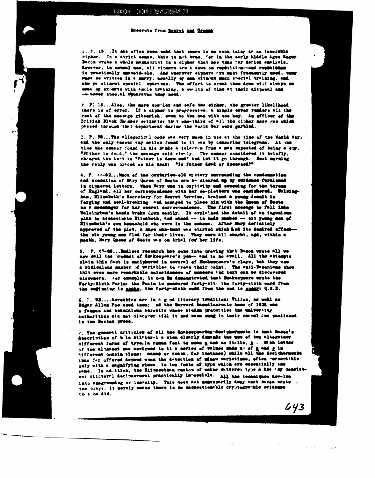$\ddot{\phantom{1}}$ 

 $\sim$ 

#### Breerote from Secret and Uranual

1. P. 15...It mas often soon unid that toore is no such thing as an insolution cipher. In a strict sense, this is not true, for in the early Kiddle Ages Reger Bacon wrete a whole manuscrivt in a cipher that has tms tar defied analysis. Equator, in actual use, all ciphers are k down on resolution-and resolutions is practically unwelcolo. And wherever eiphors are most fromently used, tony such so written in a surry, usually up see witnest such sworld training, and also po without special uparture. The effort to ereak them down will always so unto of excerts with esple training, a wellth of time at their disposal and on tever special exparatus that need.

2. P. 16...Also, the mare complex and safe the cipher, the greater likeliheed there is of error. If a cipher is progressive, a single error readers all the rest of the mesurge gibberish, even to the men with the key. An afficer of the British Black Chember setimates the t same third of all the cipher mess ses which passed through that department darias the Verld War were garbled.

3. P. 58...The allegorical oods was very much in use at the time of the Warld War. and the salv snever any mation feast to it was by conserting telegrame. At one time the consor found in his hends a telectua from a man superted of being a sur. "Tother is dead," the message said simily. The comeor considered it briefly, changed the text to "Tuther is deco-sed" and let it go through. But merning the reply was placed on his deak: "Is father dead or decessed?"

4. P. Vr-82...Whoh of the conturies-old mystery surrounding the condemnation and execution of Mary Queen of Seats own be cleared up by evidence furnished in cipacred letters. When Mery use in captivity and senseing for the tarune of England, all her correspondence with her co-plotters was eastshered. Walsinghan, Elimbeth's Secretary for Service Service, trained a young Jounit in forging and seal-breaking and manyed to place him with the Queen of Secto as a monotager for her secret correspondence. The first moonge to fall into Walsington's hands broke down easily. It explained the detail of an ingenions plan to assissinate Rizsbeth, and mass -- in order maker -- six young men of Elisabeth's over household who were in the schoon. After Mury definitely approved of the plet, a hare manimat was started which had its decired offectthe eix young men fled for their lives. They were all sengtht, and, within a month, Mary Queen of Sects wis on trial for her life.

5. P. 97-98... Indices research has gone into proving that Bacon wrote all we now call the product of Shakespeare's pen-- and to no swail. All the attempts elain this fact is enciphered in acveral of Shakespears's plays, but they use a ridiculous mater of variables to prove their reint. The anti-Beconsame show that even more remarkable coincidences of munters and text onn be discovered elsewhere. For example, it on do demensivated that Shakespeare wrote the Forty-Sixth Porla: the Pasla is mastered forty-six; the forty-sixth word from the beginning is anaka, the forty-sixth word from the end is manny: Q.S.D.

6. F. 92....Aerostics are in a g od literary tradition: Villen, as well as Hagar Allan Poe used them; not the Marvard based annum of 1926 was a famous and seemdalous aerostic whose hinden pracerties the university amthorities did met discover till it med seem wung in teeir chanel and puslished in the Boston press.

v. The general criticism of all the Snakeepearths-decipherments is that Basan's describites of hile hilfter-1 s stem clearly demands the use of two alterotaer different forms of type. (a reman feat to musn g and an it-lie, g., Brek letter of the alminost me assigned to it a cories of values unde up of a and him thus for offered depend unon the detection of minow variations, often -erospitible caly with a magnifying glass, in two fonts of type which are essentially the same. In ad. ition, the Elimatethan custom of uning satisface type a kee Pmy consistent siluterel decimesment practically immedials. All the teensignes develve into anagramming or insumits. This does not nemessarily deny that Moon wrote the plays; it merely means there is me unquestionable cryptographic ovidence th t he did.

 $\mathcal{L}^{\text{max}}$  is a set of  $\mathcal{L}^{\text{max}}$ 

 $643$ 

**College** 

in albe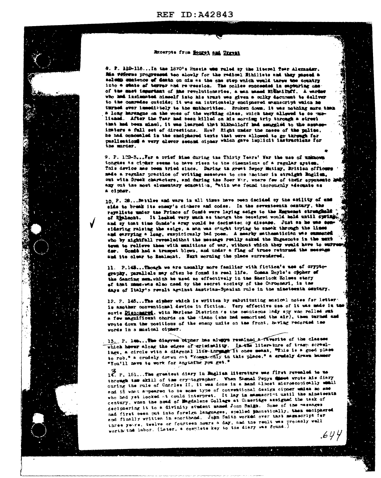## REF TD: 442843



#### Rucerpts from HonryA and Unrent

8. P. 110-116...In the 1870's Russia was raied by the liberal fear Alexander. Mis vificens progressed too slowly for the redionl Hibilists and they passed a salume metence of desta on nim as the one step which would tarew the country into a state of terrer and re-ression. The police succeeded in exploring one of the mast important of the revolutionsries, a man mass Hilbeiluff. A warder who had incleased himself into his trust was given a sulky decument to deliver to the comredes outside; it was an intricately enciphered manuscript which he turned ever immedistely to the mutherities. Broken down, it was nothing more than a long hardngue on the wors of the vorking class, unich they allowed to be mulished. After the Tear had been hilled on his morning trip through a street that had been mined, it was learned that Mikhailoff had smargled to the assaminsters a full set of directions. How? Right under the moses of the police. he had comcealed in the emciphered texts that were allowed to go through for puslications a very clever second cipher which gave implicit instructions for the marder.

9. P. 102-S...Per a orief hime during the Thirty Tears' War the use of unknown tongues as cipher seems to have risen to the dimensions of a regular system. This device mas been tried since. During th great Sepoy Mutiny, British officers made a regular practice of writing messors to one another in straight Baglish, out with Orsek characters, and during the Boer War, where few of their appenents by any out the most elementary education, "atin was found theroughly adequate as a cipher.

10. P. 28... Battles and ware in all times have been decided by the actity of and side to break its ensay's cinhers and codes. In the seventeenth century, the repuliets under the Prince of Condé were laying saige to the Engment strenghald of liminght. It leaked very such as though the beseiged would hald until system. and sy that time Conde's army would be decimated by disease. Just as he was sensidering raising the seige, a man was cought trying to smeak through the lines and earrying a long, suspiciously bad poes. A mearly mathematician was summated who by aightfall revealed that the message really asked the Engesnots in the mext tens to relieve them with munitions of war, without which they would have to surro der. Comit had a trampet blown, and under a flag of trues returned the message and its clear to Realmont. Hazt morning the place surrendered.

11. P.145... Though we are usually more familiar with fiction's use of cryptography, parallels may often be found in real life. Comes Royle's oppher of the dameing men, which he used so effectively in the Sherlock Holmes stery of that mamerine also used by the secret society of the Caroomari, is the days of Italy's revolt against Austrian-Spanish rule in the nimeteenth century.

12. P. 145... The sigher which is written by substituting musical notes for letter is another conventional device in fiction. Very effective use of it was made in to sevie Pisnomared, with Marlene Districh as the cenatecus lady any who rolled sut a few magnificent chords on the piano (she had memorized the sir), then turned and wrote down the positions of the enemy unite on the front, heving recorded the vords in a musical cipher.

13. P. 146... The diagree bipner has alugge remined a favorite of the classes which hever along the edges of eristsality. In the literature of tramp scrawlings, a circle with a diagonal line-through it once meant, "This is a good place to rob." a crudely drewn out "Hosen-only in this place." a crudely drawn hammer "You'll have to work for anything you get."

17. P. 151... The greatest diary in Baglish literature was first revealed to us through the skill of the cryptographer. When Stand Papys shows wrote his diary during the rule of Carries II, it was done is a mand almost microscopically seall and in what appeared to be some type of conventional design cipner union no ane who had yet looked at could interpret. It lay in mammacrint until the minateenth century, when the hoad of Engdalene College at Coneringe assigned the task of deciphering it to a divinity student manual Jonn Smigh. Some of the vassages nad first been put into foreign languages, spelled jaonstically, then emciphered and finally written in snorthund. John Saith worked over that memmedrips for three years, twelve or fourteen hours a day, and the realt we proceely well worth the labor. (Later, a complete key to the diary was found.)

 $\sim 100$ 

 $.644$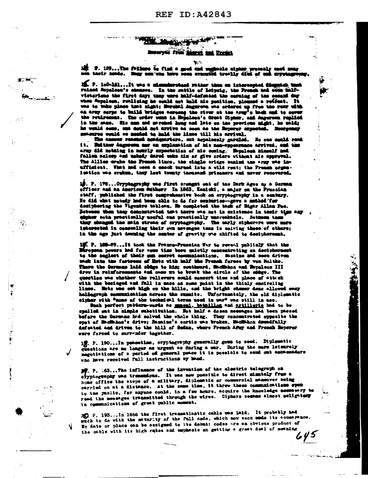#### فكفوش والمحافظ Ruseryte from B met and Docint

≰ਾ≃

N)

ا رنگ

بتأنيها 2. 159... The follows be find a good and we yatı İsas yisasını yakla elesi their hands. May non-vas have seen example troofir died of out errotogram

2. P. 100-161....It was a misundersteed rather than on interespied disputes, trinsel Application commercial ratios of Leipzig, the French and some ball a mito vieteriens the first day: they were half-infeated the mening of the second day when Sappless, realising he could not hald his position, pleased a reffeat. It was to take place that might; Herehal Jaggrova was criared up from the renr with an army corps to build bridges seroes the river at the army's best and to cover the retirement. The order went in Bepaleon's Great Cipher, and Augurean replied in the same. His men and seroest heag and late on the provices he would some, and dould not arrive as soon as the Experyr expected. Exampenay meaning wald so meded to held the lines till his arrival. The amount reached hedgearters, out hopelessly garaled. He can could read

it. Butther Augustus mer an explanation of his non-appearance arrived, and the army did nothing in nourly expectation of his coming. Expelses nimedif and fallen salesp and mobely dared wake him or give orders without als approval. The Allies erake the French lines, the single aridge sanind the army was inufficient. What had occa a eneck turned into a wild rent; the French organisation was eroken, they lest twenty thousand prisoners and never recovered.

19. P. 178... Oryphagraphy une first crought out of the Dark Ages by a German officer and an American Sutherr In 1863, Kenicki, a major on the Pressian staff, published the first comprehensive book on cryptography in a sentury. He did what mobely had been able to do for centuries--gave a mehhod for desiphering the Vigendre tablesu. He completed the task of Higar Alisa Poe. Between them they demonstrated toat there was not in existence in their time any man sota practically useful and practically uncreakable. Setmen then they changed the sain stream of cryptography. The early cipherers were more interceted in concealing their oun mercages than in solving theserof othere; in the age just desping the conter of gravity we shifted to desipherment.

15. P. 180-89...It took the France-Prassian War to reveal publicly that the Baregonn powers had for some time been quietly concentrating an decipherment to the neglect of their oun convet communications. Survive and seen driven sack into the fortwood of Mots with half the French forces by von Moltko. There the German laid sidge to him; continued, Hackbon and Bepalcon III drow in reinforcements and came up to break the circle of the subge. The guestion was whether the relievers scald sencert time and place of attack with the besteged and fall in mass an some point in the thinly encireling lines. Hetz was set high on the hille, and the bright stamer dans allowed easy halfagraph communication across the summits. Unfortunately, the old diplomatic cipher with "mome of the technical terms used in war" was still in ass.

Shah perfect pattern-words as seemed. heinillen and artillerie had to be spalled out in simple substitution. Het half a desen meestges had been passed before the German had solved the whole thing. They concentrated sympatic the spet of Modiabon's drive; Basains's sortie was broken, Modiabon decadfully defeated and driven to the hill of Sedan, where French After and French Reperer were forced to surrender together.

12. P. 190...In pencetime, cryptography generally goes to seed. Diplematic questions are no longer as urgent as during a war. During the mare leisurely megotiations of a pariod of general peace it is possible to send out amonesadors who have received full instructions by hand.

27. P. 163...The influence of the invention of the electric telegraph on oryptography was tremsedous. It was now possible to direct minutely from a home office the steps of a military, diplomatic or commercial measurer being carried on at a distance. At the same time, it threw these communications open to the public, for anyone could, in a few hours, acquire the knowledge necessary to read the meaniges transmitted through the wires. Ciphers seeme slmost seligates in communications of great public noment.

20 P. 193...In 1866 the first transatlantic cable was laid. It probably had much to do with the maturity of the full code, which mow soon unde its appearance. He date or place can be assigned to its debut: codes are an obvious product of the oable with its high rates and suphasis an getting a great deal of meaning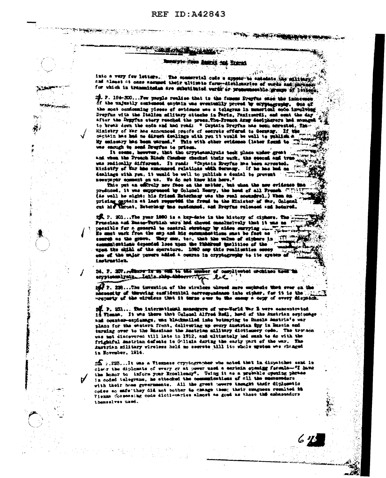### **REF ID: A42843**

#### **CONTRACTOR** NO. NE R

**TANK SATING JUNIOR** 

# Suranyer From Entroit and Entrat

**START ANGELIA ANG PARTITION** 

into a very few letters. The someoveral code a system is emadate the military, cad almost at ones sammed their altimate form-electronics of works and physics for which in transmiteden are cubetitated worth or presenteesble groups of leving

. P. 194-200...Per prople realise that is the femous Propres ease the innocen of the unjustly sextened enginin was eventually proved by expressing. Sue of the most conforming pieces of evidence was a telegram in measurized econ involving Droyfus with the lialing silitary citeshe is Parts, Panizemrit, and sent the day after the Depyfus stery reached the press. The Freech Away Secipherers had monogo to break down the code and had road: " Captain Dreyfus has been assessed, The Hinistry of War has announced presis of secrets offered to Germany. If the ospisin has had no direct dealings with you it would be well to publish a ity emissary late boom unrund." This with sther evidence (later found to was enough to send Drugfus to prison.

and when the Proach Ninek Chasher checked thair wark, the second and tree was redically different. It reads "Captain Breyfus has been arrested. Ministry of the hos announced relations with Security. If he has had as dealings with you, it would be well to publish a denial to provent will newsteper comment on us. We do not know him here."

This put an efficuly new face on the matter, but when the new evidence in produced, it was suppressed by Colonel Emery, the head of all French City!! (As well be might; his friend Enterhamy was the real soundrel.) When an prising opptain at last requested the freud to the Minister of the, Golonal cut his throat, Beterlang tas sundenand, and Regina released and hotered.

ER. P. 201...The year 1890 is a hoy-date in the history of ciphers. The Prossien and Basse-Turkish ware had chowed consimutedy that it was no pessible for a general to control strategy by aides surrying. Is must wask from the map and his excempted tions must be fact as I communications depended loss upon the finalized technics of the upen the child of the sperators. 1800 asy this realisation sevey ene of the major person added a course in cryptography to ite system instruction.

24. 2. 207. . There is my the to the manner of complicated moditor that to szyptemen Iraly .... Intile. ship. Aldorre ... ( **let** 

1972. 228... The invention of the sirables should more employeds that ever on the constite of therming camiifuntinl correspondence into cipher, for it is the ... vreparty of the virtises that it turns over to the energy a copy of every dispatch.

zi. P. 231... Ebn international managers of pro-Vorld War S were exacuatrated<br>13 Vienna, It was there that Colonel Alfred Redl, head of the Austrian espicemen and counter-earienage, was blackmailed into betraying to Eusais Amstria's ver plans for the eastern frent, delivering up every hustrian fly in Bassia and turning over to the Russiane the Austrian military dictimeny code. The trovaca was mot discovered till late in 1912, and ultimately hod such to do with the frightful matrian defects is Golisia during the early part of the way. The kustyle military vireless hold no seerste till ito vhole uystem was changed in Hovember, 1914.

 $22$ ,  $233...$ It was a Vienness cryptographer who noted that in dimpatches sent in clear the diplomate of every or at power used a carinin spening farmin- "I have the honor to inform your Knoellesoy". Using it as a presealle opening parase in coded telegrams, he attacked the communications of cll the sessenders with their home governments. All the great nevers thought their diplomatic codes so mafe they did not bother to change them; their sungness resulted th Vienus fossessing code dictionaries almost as good as those the embassadors themselves used.